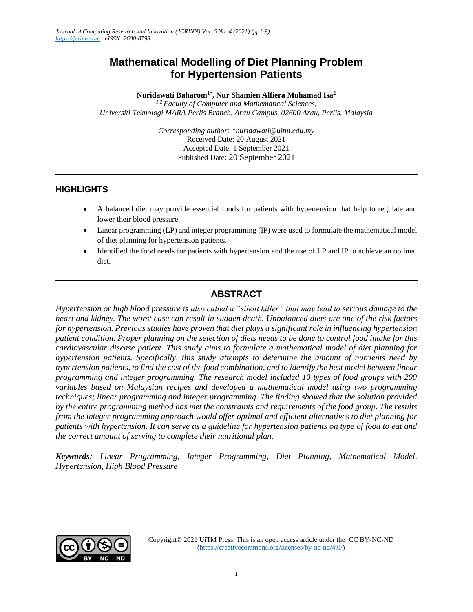# **Mathematical Modelling of Diet Planning Problem for Hypertension Patients**

**Nuridawati Baharom1\* , Nur Shamien Alfiera Muhamad Isa<sup>2</sup>**

*1,2 Faculty of Computer and Mathematical Sciences, Universiti Teknologi MARA Perlis Branch, Arau Campus, 02600 Arau, Perlis, Malaysia*

> *Corresponding author: \*nuridawati@uitm.edu.my* Received Date: 20 August 2021 Accepted Date: 1 September 2021 Published Date: 20 September 2021

### **HIGHLIGHTS**

- A balanced diet may provide essential foods for patients with hypertension that help to regulate and lower their blood pressure.
- Linear programming (LP) and integer programming (IP) were used to formulate the mathematical model of diet planning for hypertension patients.
- Identified the food needs for patients with hypertension and the use of LP and IP to achieve an optimal diet.

# **ABSTRACT**

*Hypertension or high blood pressure is also called a "silent killer" that may lead to serious damage to the heart and kidney. The worst case can result in sudden death. Unbalanced diets are one of the risk factors for hypertension. Previous studies have proven that diet plays a significant role in influencing hypertension patient condition. Proper planning on the selection of diets needs to be done to control food intake for this cardiovascular disease patient. This study aims to formulate a mathematical model of diet planning for hypertension patients. Specifically, this study attempts to determine the amount of nutrients need by hypertension patients, to find the cost of the food combination, and to identify the best model between linear programming and integer programming. The research model included 10 types of food groups with 200 variables based on Malaysian recipes and developed a mathematical model using two programming techniques; linear programming and integer programming. The finding showed that the solution provided by the entire programming method has met the constraints and requirements of the food group. The results from the integer programming approach would offer optimal and efficient alternatives to diet planning for patients with hypertension. It can serve as a guideline for hypertension patients on type of food to eat and the correct amount of serving to complete their nutritional plan.*

*Keywords: Linear Programming, Integer Programming, Diet Planning, Mathematical Model, Hypertension, High Blood Pressure*

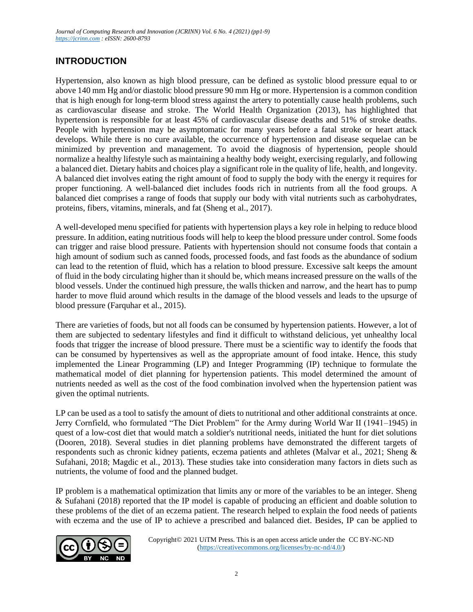## **INTRODUCTION**

Hypertension, also known as high blood pressure, can be defined as systolic blood pressure equal to or above 140 mm Hg and/or diastolic blood pressure 90 mm Hg or more. Hypertension is a common condition that is high enough for long-term blood stress against the artery to potentially cause health problems, such as cardiovascular disease and stroke. The World Health Organization (2013), has highlighted that hypertension is responsible for at least 45% of cardiovascular disease deaths and 51% of stroke deaths. People with hypertension may be asymptomatic for many years before a fatal stroke or heart attack develops. While there is no cure available, the occurrence of hypertension and disease sequelae can be minimized by prevention and management. To avoid the diagnosis of hypertension, people should normalize a healthy lifestyle such as maintaining a healthy body weight, exercising regularly, and following a balanced diet. Dietary habits and choices play a significant role in the quality of life, health, and longevity. A balanced diet involves eating the right amount of food to supply the body with the energy it requires for proper functioning. A well-balanced diet includes foods rich in nutrients from all the food groups. A balanced diet comprises a range of foods that supply our body with vital nutrients such as carbohydrates, proteins, fibers, vitamins, minerals, and fat (Sheng et al., 2017).

A well-developed menu specified for patients with hypertension plays a key role in helping to reduce blood pressure. In addition, eating nutritious foods will help to keep the blood pressure under control. Some foods can trigger and raise blood pressure. Patients with hypertension should not consume foods that contain a high amount of sodium such as canned foods, processed foods, and fast foods as the abundance of sodium can lead to the retention of fluid, which has a relation to blood pressure. Excessive salt keeps the amount of fluid in the body circulating higher than it should be, which means increased pressure on the walls of the blood vessels. Under the continued high pressure, the walls thicken and narrow, and the heart has to pump harder to move fluid around which results in the damage of the blood vessels and leads to the upsurge of blood pressure (Farquhar et al., 2015).

There are varieties of foods, but not all foods can be consumed by hypertension patients. However, a lot of them are subjected to sedentary lifestyles and find it difficult to withstand delicious, yet unhealthy local foods that trigger the increase of blood pressure. There must be a scientific way to identify the foods that can be consumed by hypertensives as well as the appropriate amount of food intake. Hence, this study implemented the Linear Programming (LP) and Integer Programming (IP) technique to formulate the mathematical model of diet planning for hypertension patients. This model determined the amount of nutrients needed as well as the cost of the food combination involved when the hypertension patient was given the optimal nutrients.

LP can be used as a tool to satisfy the amount of diets to nutritional and other additional constraints at once. Jerry Cornfield, who formulated "The Diet Problem" for the Army during World War II (1941–1945) in quest of a low-cost diet that would match a soldier's nutritional needs, initiated the hunt for diet solutions (Dooren, 2018). Several studies in diet planning problems have demonstrated the different targets of respondents such as chronic kidney patients, eczema patients and athletes (Malvar et al., 2021; Sheng & Sufahani, 2018; Magdic et al., 2013). These studies take into consideration many factors in diets such as nutrients, the volume of food and the planned budget.

IP problem is a mathematical optimization that limits any or more of the variables to be an integer. Sheng & Sufahani (2018) reported that the IP model is capable of producing an efficient and doable solution to these problems of the diet of an eczema patient. The research helped to explain the food needs of patients with eczema and the use of IP to achieve a prescribed and balanced diet. Besides, IP can be applied to

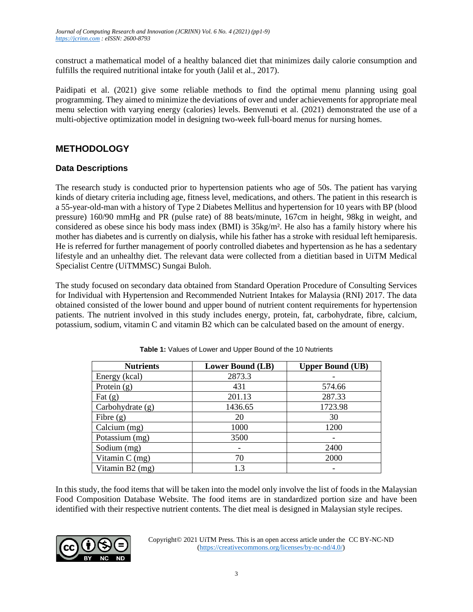construct a mathematical model of a healthy balanced diet that minimizes daily calorie consumption and fulfills the required nutritional intake for youth (Jalil et al., 2017).

Paidipati et al. (2021) give some reliable methods to find the optimal menu planning using goal programming. They aimed to minimize the deviations of over and under achievements for appropriate meal menu selection with varying energy (calories) levels. Benvenuti et al. (2021) demonstrated the use of a multi-objective optimization model in designing two-week full-board menus for nursing homes.

### **METHODOLOGY**

### **Data Descriptions**

The research study is conducted prior to hypertension patients who age of 50s. The patient has varying kinds of dietary criteria including age, fitness level, medications, and others. The patient in this research is a 55-year-old-man with a history of Type 2 Diabetes Mellitus and hypertension for 10 years with BP (blood pressure) 160/90 mmHg and PR (pulse rate) of 88 beats/minute, 167cm in height, 98kg in weight, and considered as obese since his body mass index (BMI) is 35kg/m². He also has a family history where his mother has diabetes and is currently on dialysis, while his father has a stroke with residual left hemiparesis. He is referred for further management of poorly controlled diabetes and hypertension as he has a sedentary lifestyle and an unhealthy diet. The relevant data were collected from a dietitian based in UiTM Medical Specialist Centre (UiTMMSC) Sungai Buloh.

The study focused on secondary data obtained from Standard Operation Procedure of Consulting Services for Individual with Hypertension and Recommended Nutrient Intakes for Malaysia (RNI) 2017. The data obtained consisted of the lower bound and upper bound of nutrient content requirements for hypertension patients. The nutrient involved in this study includes energy, protein, fat, carbohydrate, fibre, calcium, potassium, sodium, vitamin C and vitamin B2 which can be calculated based on the amount of energy.

| <b>Nutrients</b> | <b>Lower Bound (LB)</b> | <b>Upper Bound (UB)</b> |
|------------------|-------------------------|-------------------------|
| Energy (kcal)    | 2873.3                  |                         |
| Protein $(g)$    | 431                     | 574.66                  |
| Fat $(g)$        | 201.13                  | 287.33                  |
| Carbohydrate (g) | 1436.65                 | 1723.98                 |
| Fibre $(g)$      | 20                      | 30                      |
| Calcium (mg)     | 1000                    | 1200                    |
| Potassium (mg)   | 3500                    |                         |
| Sodium (mg)      |                         | 2400                    |
| Vitamin $C$ (mg) | 70                      | 2000                    |
| Vitamin B2 (mg)  | 1.3                     |                         |

In this study, the food items that will be taken into the model only involve the list of foods in the Malaysian Food Composition Database Website. The food items are in standardized portion size and have been identified with their respective nutrient contents. The diet meal is designed in Malaysian style recipes.

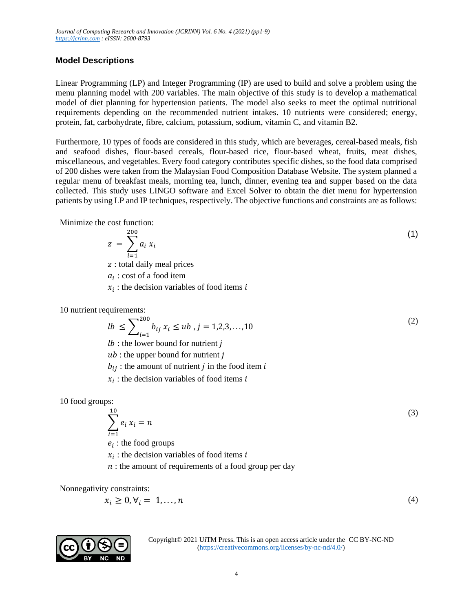### **Model Descriptions**

Linear Programming (LP) and Integer Programming (IP) are used to build and solve a problem using the menu planning model with 200 variables. The main objective of this study is to develop a mathematical model of diet planning for hypertension patients. The model also seeks to meet the optimal nutritional requirements depending on the recommended nutrient intakes. 10 nutrients were considered; energy, protein, fat, carbohydrate, fibre, calcium, potassium, sodium, vitamin C, and vitamin B2.

Furthermore, 10 types of foods are considered in this study, which are beverages, cereal-based meals, fish and seafood dishes, flour-based cereals, flour-based rice, flour-based wheat, fruits, meat dishes, miscellaneous, and vegetables. Every food category contributes specific dishes, so the food data comprised of 200 dishes were taken from the Malaysian Food Composition Database Website. The system planned a regular menu of breakfast meals, morning tea, lunch, dinner, evening tea and supper based on the data collected. This study uses LINGO software and Excel Solver to obtain the diet menu for hypertension patients by using LP and IP techniques, respectively. The objective functions and constraints are as follows:

Minimize the cost function:

$$
z = \sum_{i=1}^{200} a_i x_i \tag{1}
$$

: total daily meal prices

 $a_i$ : cost of a food item

 $x_i$ : the decision variables of food items i

10 nutrient requirements:

$$
lb \le \sum_{i=1}^{200} b_{ij} x_i \le ub \,, j = 1, 2, 3, \dots, 10 \tag{2}
$$

 $lb:$  the lower bound for nutrient  $j$ 

 $ub:$  the upper bound for nutrient  $i$ 

 $b_{ij}$ : the amount of nutrient *j* in the food item *i* 

 $x_i$ : the decision variables of food items i

10 food groups:

$$
\sum_{i=1}^{10} e_i x_i = n \tag{3}
$$

 $i=1$  $e_i$ : the food groups

- $x_i$ : the decision variables of food items i
- $n:$  the amount of requirements of a food group per day

Nonnegativity constraints:

10

$$
x_i \ge 0, \forall i = 1, \dots, n \tag{4}
$$

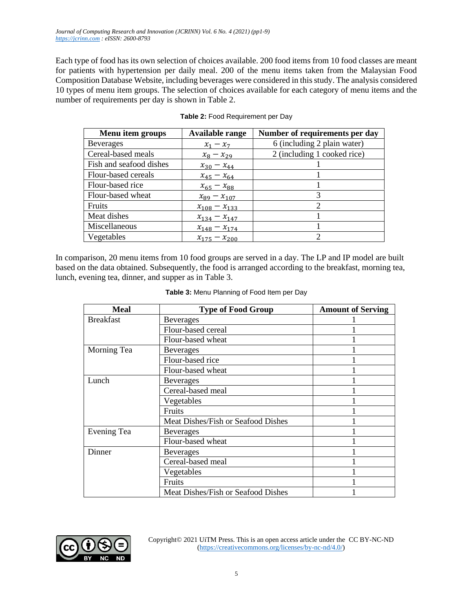Each type of food has its own selection of choices available. 200 food items from 10 food classes are meant for patients with hypertension per daily meal. 200 of the menu items taken from the Malaysian Food Composition Database Website, including beverages were considered in this study. The analysis considered 10 types of menu item groups. The selection of choices available for each category of menu items and the number of requirements per day is shown in Table 2.

| Menu item groups        | Available range     | Number of requirements per day |
|-------------------------|---------------------|--------------------------------|
| <b>Beverages</b>        | $x_1 - x_7$         | 6 (including 2 plain water)    |
| Cereal-based meals      | $x_8 - x_{29}$      | 2 (including 1 cooked rice)    |
| Fish and seafood dishes | $x_{30} - x_{44}$   |                                |
| Flour-based cereals     | $x_{45} - x_{64}$   |                                |
| Flour-based rice        | $x_{65} - x_{88}$   |                                |
| Flour-based wheat       | $x_{89} - x_{107}$  | 3                              |
| Fruits                  | $x_{108} - x_{133}$ | 2                              |
| Meat dishes             | $x_{134} - x_{147}$ |                                |
| Miscellaneous           | $x_{148} - x_{174}$ |                                |
| Vegetables              | $x_{175} - x_{200}$ |                                |

#### **Table 2:** Food Requirement per Day

In comparison, 20 menu items from 10 food groups are served in a day. The LP and IP model are built based on the data obtained. Subsequently, the food is arranged according to the breakfast, morning tea, lunch, evening tea, dinner, and supper as in Table 3.

| Meal             | <b>Type of Food Group</b>          | <b>Amount of Serving</b> |
|------------------|------------------------------------|--------------------------|
| <b>Breakfast</b> | <b>Beverages</b>                   |                          |
|                  | Flour-based cereal                 |                          |
|                  | Flour-based wheat                  |                          |
| Morning Tea      | <b>Beverages</b>                   |                          |
|                  | Flour-based rice                   |                          |
|                  | Flour-based wheat                  |                          |
| Lunch            | <b>Beverages</b>                   |                          |
|                  | Cereal-based meal                  |                          |
|                  | Vegetables                         |                          |
|                  | Fruits                             |                          |
|                  | Meat Dishes/Fish or Seafood Dishes |                          |
| Evening Tea      | <b>Beverages</b>                   |                          |
|                  | Flour-based wheat                  |                          |
| Dinner           | <b>Beverages</b>                   |                          |
|                  | Cereal-based meal                  |                          |
|                  | Vegetables                         |                          |
|                  | Fruits                             |                          |
|                  | Meat Dishes/Fish or Seafood Dishes |                          |

| Table 3: Menu Planning of Food Item per Day |  |
|---------------------------------------------|--|
|---------------------------------------------|--|

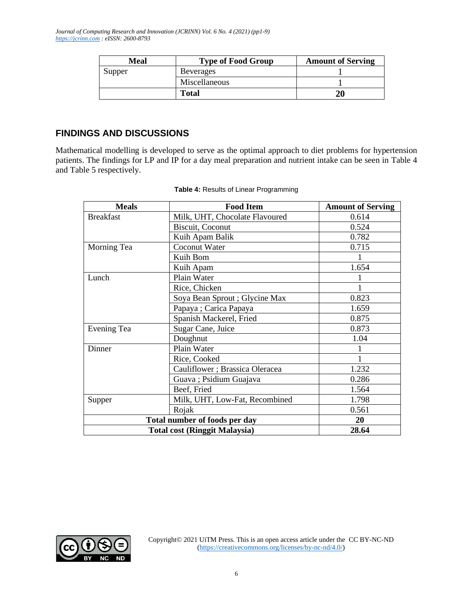| Meal   | <b>Type of Food Group</b> | <b>Amount of Serving</b> |
|--------|---------------------------|--------------------------|
| Supper | <b>Beverages</b>          |                          |
|        | Miscellaneous             |                          |
|        | <b>Total</b>              |                          |

## **FINDINGS AND DISCUSSIONS**

Mathematical modelling is developed to serve as the optimal approach to diet problems for hypertension patients. The findings for LP and IP for a day meal preparation and nutrient intake can be seen in Table 4 and Table 5 respectively.

| <b>Meals</b>                         | <b>Food Item</b>                | <b>Amount of Serving</b> |
|--------------------------------------|---------------------------------|--------------------------|
| <b>Breakfast</b>                     | Milk, UHT, Chocolate Flavoured  | 0.614                    |
|                                      | Biscuit, Coconut                | 0.524                    |
|                                      | Kuih Apam Balik                 | 0.782                    |
| Morning Tea                          | Coconut Water                   | 0.715                    |
|                                      | Kuih Bom                        |                          |
|                                      | Kuih Apam                       | 1.654                    |
| Lunch                                | Plain Water                     |                          |
|                                      | Rice, Chicken                   |                          |
|                                      | Soya Bean Sprout ; Glycine Max  | 0.823                    |
|                                      | Papaya ; Carica Papaya          | 1.659                    |
|                                      | Spanish Mackerel, Fried         | 0.875                    |
| Evening Tea                          | Sugar Cane, Juice               | 0.873                    |
|                                      | Doughnut                        | 1.04                     |
| Dinner                               | Plain Water                     |                          |
|                                      | Rice, Cooked                    |                          |
|                                      | Cauliflower ; Brassica Oleracea | 1.232                    |
|                                      | Guava; Psidium Guajava          | 0.286                    |
|                                      | Beef, Fried                     | 1.564                    |
| Supper                               | Milk, UHT, Low-Fat, Recombined  | 1.798                    |
|                                      | Rojak                           | 0.561                    |
| Total number of foods per day        |                                 | 20                       |
| <b>Total cost (Ringgit Malaysia)</b> |                                 | 28.64                    |

#### **Table 4:** Results of Linear Programming

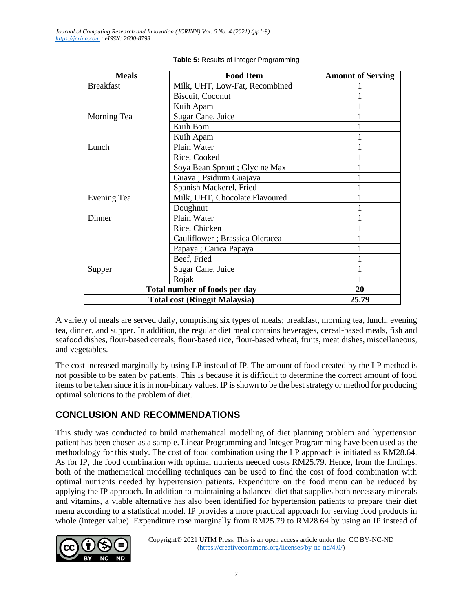| <b>Meals</b>                  | <b>Food Item</b>                     | <b>Amount of Serving</b> |
|-------------------------------|--------------------------------------|--------------------------|
| <b>Breakfast</b>              | Milk, UHT, Low-Fat, Recombined       |                          |
|                               | Biscuit, Coconut                     |                          |
|                               | Kuih Apam                            |                          |
| Morning Tea                   | Sugar Cane, Juice                    |                          |
|                               | Kuih Bom                             |                          |
|                               | Kuih Apam                            |                          |
| Lunch                         | Plain Water                          |                          |
|                               | Rice, Cooked                         |                          |
|                               | Soya Bean Sprout ; Glycine Max       |                          |
|                               | Guava; Psidium Guajava               |                          |
|                               | Spanish Mackerel, Fried              |                          |
| Evening Tea                   | Milk, UHT, Chocolate Flavoured       |                          |
|                               | Doughnut                             |                          |
| Dinner                        | Plain Water                          |                          |
|                               | Rice, Chicken                        |                          |
|                               | Cauliflower ; Brassica Oleracea      |                          |
|                               | Papaya ; Carica Papaya               |                          |
|                               | Beef, Fried                          |                          |
| Supper                        | Sugar Cane, Juice                    |                          |
|                               | Rojak                                |                          |
| Total number of foods per day |                                      | 20                       |
|                               | <b>Total cost (Ringgit Malaysia)</b> | 25.79                    |

#### **Table 5:** Results of Integer Programming

A variety of meals are served daily, comprising six types of meals; breakfast, morning tea, lunch, evening tea, dinner, and supper. In addition, the regular diet meal contains beverages, cereal-based meals, fish and seafood dishes, flour-based cereals, flour-based rice, flour-based wheat, fruits, meat dishes, miscellaneous, and vegetables.

The cost increased marginally by using LP instead of IP. The amount of food created by the LP method is not possible to be eaten by patients. This is because it is difficult to determine the correct amount of food items to be taken since it is in non-binary values. IP is shown to be the best strategy or method for producing optimal solutions to the problem of diet.

## **CONCLUSION AND RECOMMENDATIONS**

This study was conducted to build mathematical modelling of diet planning problem and hypertension patient has been chosen as a sample. Linear Programming and Integer Programming have been used as the methodology for this study. The cost of food combination using the LP approach is initiated as RM28.64. As for IP, the food combination with optimal nutrients needed costs RM25.79. Hence, from the findings, both of the mathematical modelling techniques can be used to find the cost of food combination with optimal nutrients needed by hypertension patients. Expenditure on the food menu can be reduced by applying the IP approach. In addition to maintaining a balanced diet that supplies both necessary minerals and vitamins, a viable alternative has also been identified for hypertension patients to prepare their diet menu according to a statistical model. IP provides a more practical approach for serving food products in whole (integer value). Expenditure rose marginally from RM25.79 to RM28.64 by using an IP instead of

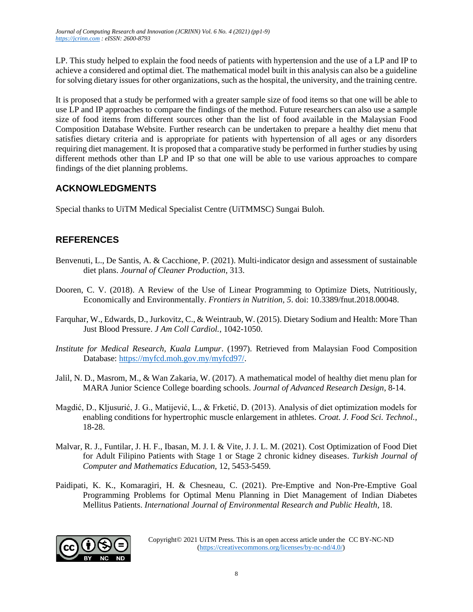LP. This study helped to explain the food needs of patients with hypertension and the use of a LP and IP to achieve a considered and optimal diet. The mathematical model built in this analysis can also be a guideline for solving dietary issues for other organizations, such as the hospital, the university, and the training centre.

It is proposed that a study be performed with a greater sample size of food items so that one will be able to use LP and IP approaches to compare the findings of the method. Future researchers can also use a sample size of food items from different sources other than the list of food available in the Malaysian Food Composition Database Website. Further research can be undertaken to prepare a healthy diet menu that satisfies dietary criteria and is appropriate for patients with hypertension of all ages or any disorders requiring diet management. It is proposed that a comparative study be performed in further studies by using different methods other than LP and IP so that one will be able to use various approaches to compare findings of the diet planning problems.

# **ACKNOWLEDGMENTS**

Special thanks to UiTM Medical Specialist Centre (UiTMMSC) Sungai Buloh.

## **REFERENCES**

- Benvenuti, L., De Santis, A. & Cacchione, P. (2021). Multi-indicator design and assessment of sustainable diet plans. *Journal of Cleaner Production*, 313.
- Dooren, C. V. (2018). A Review of the Use of Linear Programming to Optimize Diets, Nutritiously, Economically and Environmentally. *Frontiers in Nutrition, 5*. doi: 10.3389/fnut.2018.00048.
- Farquhar, W., Edwards, D., Jurkovitz, C., & Weintraub, W. (2015). Dietary Sodium and Health: More Than Just Blood Pressure. *J Am Coll Cardiol.*, 1042-1050.
- *Institute for Medical Research, Kuala Lumpur*. (1997). Retrieved from Malaysian Food Composition Database: [https://myfcd.moh.gov.my/myfcd97/.](https://myfcd.moh.gov.my/myfcd97/)
- Jalil, N. D., Masrom, M., & Wan Zakaria, W. (2017). A mathematical model of healthy diet menu plan for MARA Junior Science College boarding schools. *Journal of Advanced Research Design*, 8-14.
- Magdić, D., Kljusurić, J. G., Matijević, L., & Frketić, D. (2013). Analysis of diet optimization models for enabling conditions for hypertrophic muscle enlargement in athletes. *Croat. J. Food Sci. Technol.*, 18-28.
- Malvar, R. J., Funtilar, J. H. F., Ibasan, M. J. I. & Vite, J. J. L. M. (2021). Cost Optimization of Food Diet for Adult Filipino Patients with Stage 1 or Stage 2 chronic kidney diseases. *Turkish Journal of Computer and Mathematics Education,* 12, 5453-5459.
- Paidipati, K. K., Komaragiri, H. & Chesneau, C. (2021). Pre-Emptive and Non-Pre-Emptive Goal Programming Problems for Optimal Menu Planning in Diet Management of Indian Diabetes Mellitus Patients. *International Journal of Environmental Research and Public Health*, 18.